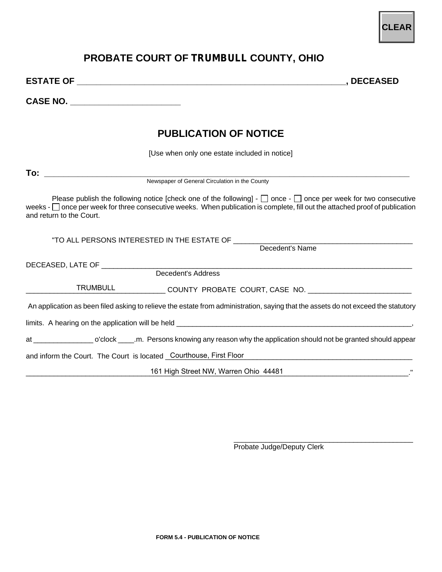## **PROBATE COURT OF TRUMBULL COUNTY, OHIO**

**ESTATE OF \_\_\_\_\_\_\_\_\_\_\_\_\_\_\_\_\_\_\_\_\_\_\_\_\_\_\_\_\_\_\_\_\_\_\_\_\_\_\_\_\_\_\_\_\_\_\_\_\_\_\_\_\_\_\_\_, DECEASED** 

**CASE NO. \_\_\_\_\_\_\_\_\_\_\_\_\_\_\_\_\_\_\_\_\_\_\_** 

## **PUBLICATION OF NOTICE**

[Use when only one estate included in notice]

**To: \_\_\_\_\_\_\_\_\_\_\_\_\_\_\_\_\_\_\_\_\_\_\_\_\_** 

Newspaper of General Circulation in the County

Please publish the following notice [check one of the following] -  $\Box$  once -  $\Box$  once per week for two consecutive weeks  $\lceil \cdot \rceil$  once per week for three consecutive weeks. When publication is complete, fill out the attached proof of publication and return to the Court.

"TO ALL PERSONS INTERESTED IN THE ESTATE OF \_\_\_\_\_\_\_\_\_\_\_\_\_\_\_\_\_\_\_\_\_\_\_\_\_\_\_\_\_\_\_\_\_\_\_\_\_\_\_\_\_\_\_\_\_

Decedent's Name

DECEASED, LATE OF \_\_\_\_\_\_\_\_\_\_\_\_\_\_\_\_\_\_\_\_\_\_\_\_\_\_\_\_\_\_\_\_\_\_\_\_\_\_\_\_\_\_\_\_\_\_\_\_\_\_\_\_\_\_\_\_\_\_\_\_\_\_\_\_\_\_\_\_\_\_\_\_\_\_\_\_\_\_

Decedent's Address

\_\_\_\_\_\_\_\_\_\_\_\_\_\_\_\_\_\_\_\_\_\_\_\_\_\_\_\_\_\_\_\_\_\_\_ COUNTY PROBATE COURT, CASE NO. \_\_\_\_\_\_\_\_\_\_\_\_\_\_\_\_\_\_\_\_\_\_\_\_\_\_ TRUMBULL

An application as been filed asking to relieve the estate from administration, saying that the assets do not exceed the statutory

limits. A hearing on the application will be held \_\_\_\_\_\_\_\_\_\_\_\_\_\_\_\_\_\_\_\_\_\_\_\_\_\_\_\_\_\_\_\_\_\_\_\_\_\_\_\_\_\_\_\_\_\_\_\_\_\_\_\_\_\_\_\_\_\_\_,

at \_\_\_\_\_\_\_\_\_\_\_\_\_\_\_\_\_\_\_ o'clock \_\_\_\_\_.m. Persons knowing any reason why the application should not be granted should appear

and inform the Court. The Court is located \_\_\_\_\_\_\_\_\_\_\_\_\_\_\_\_\_\_\_\_\_\_\_\_\_\_\_\_\_\_\_\_\_\_\_\_\_\_\_\_\_\_\_\_\_\_\_\_\_\_\_\_\_\_\_\_\_\_\_\_\_\_ Courthouse, First Floor

\_\_\_\_\_\_\_\_\_\_\_\_\_\_\_\_\_\_\_\_\_\_\_\_\_\_\_\_\_\_\_\_\_\_\_\_\_\_\_\_\_\_\_\_\_\_\_\_\_\_\_\_\_\_\_\_\_\_\_\_\_\_\_\_\_\_\_\_\_\_\_\_\_\_\_\_\_\_\_\_\_\_\_\_\_\_\_\_\_\_\_\_\_\_\_\_." 161 High Street NW, Warren Ohio 44481

\_\_\_\_\_\_\_\_\_\_\_\_\_\_\_\_\_\_\_\_\_\_\_\_\_\_\_\_\_\_\_\_\_\_\_\_\_\_\_\_\_\_\_\_\_ Probate Judge/Deputy Clerk